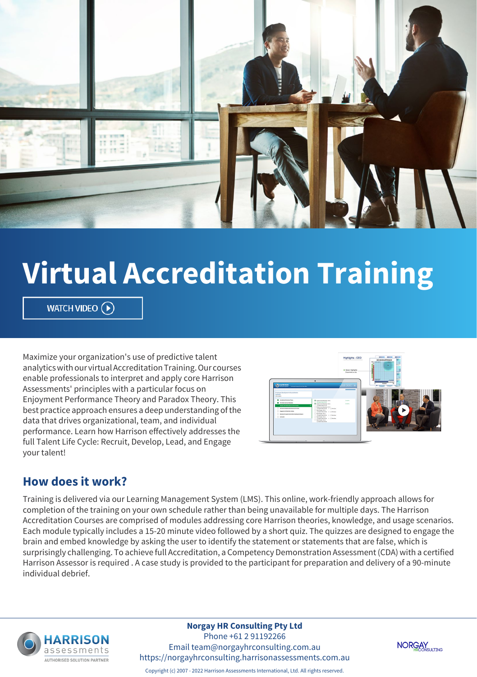

# **Virtual Accreditation Training**

WATCH VIDEO  $\left(\rightarrow\right)$ 

Maximize your organization's use of predictive talent analytics with our virtual Accreditation Training. Our courses enable professionals to interpret and apply core Harrison Assessments' principles with a particular focus on Enjoyment Performance Theory and Paradox Theory. This best practice approach ensures a deep understanding of the data that drives organizational, team, and individual performance. Learn how Harrison effectively addresses the full Talent Life Cycle: Recruit, Develop, Lead, and Engage your talent!



### **How does it work?**

Training is delivered via our Learning Management System (LMS). This online, work-friendly approach allows for completion of the training on your own schedule rather than being unavailable for multiple days. The Harrison Accreditation Courses are comprised of modules addressing core Harrison theories, knowledge, and usage scenarios. Each module typically includes a 15-20 minute video followed by a short quiz. The quizzes are designed to engage the brain and embed knowledge by asking the user to identify the statement or statements that are false, which is surprisingly challenging. To achieve full Accreditation, a Competency Demonstration Assessment (CDA) with a certified Harrison Assessor is required . A case study is provided to the participant for preparation and delivery of a 90-minute individual debrief.



**Norgay HR Consulting Pty Ltd** Phone +61 2 91192266 Email team@norgayhrconsulting.com.au https://norgayhrconsulting.harrisonassessments.com.au



Copyright (c) 2007 - 2022 Harrison Assessments International, Ltd. All rights reserved.